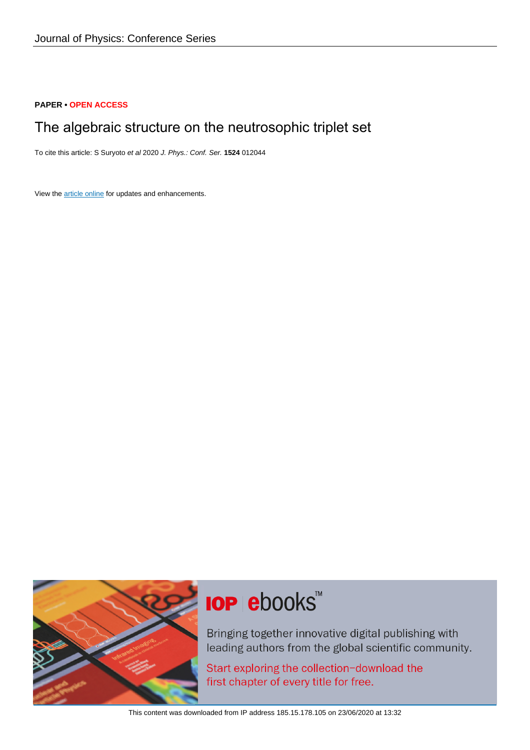# **PAPER • OPEN ACCESS**

# The algebraic structure on the neutrosophic triplet set

To cite this article: S Suryoto et al 2020 J. Phys.: Conf. Ser. **1524** 012044

View the [article online](https://doi.org/10.1088/1742-6596/1524/1/012044) for updates and enhancements.



# **IOP ebooks**™

Bringing together innovative digital publishing with leading authors from the global scientific community.

Start exploring the collection-download the first chapter of every title for free.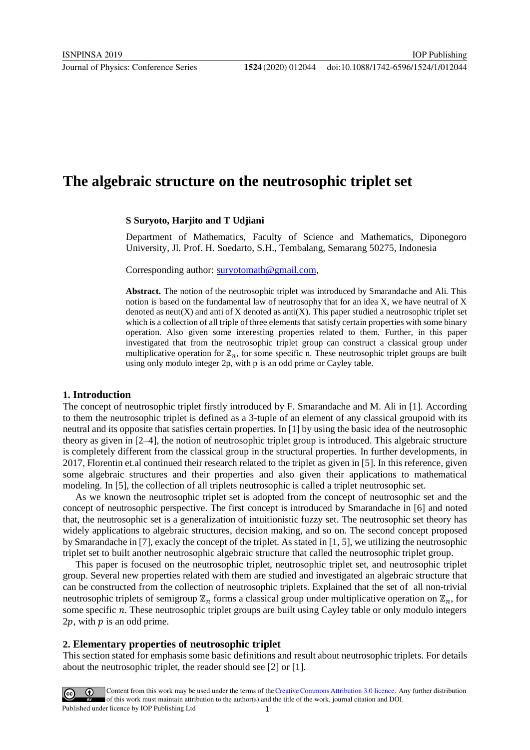# **The algebraic structure on the neutrosophic triplet set**

#### **S Suryoto, Harjito and T Udjiani**

Department of Mathematics, Faculty of Science and Mathematics, Diponegoro University, Jl. Prof. H. Soedarto, S.H., Tembalang, Semarang 50275, Indonesia

Corresponding author: survotomath@gmail.com,

**Abstract.** The notion of the neutrosophic triplet was introduced by Smarandache and Ali. This notion is based on the fundamental law of neutrosophy that for an idea X, we have neutral of X denoted as neut(X) and anti of X denoted as anti(X). This paper studied a neutrosophic triplet set which is a collection of all triple of three elements that satisfy certain properties with some binary operation. Also given some interesting properties related to them. Further, in this paper investigated that from the neutrosophic triplet group can construct a classical group under multiplicative operation for  $\mathbb{Z}_n$ , for some specific n. These neutrosophic triplet groups are built using only modulo integer 2p, with p is an odd prime or Cayley table.

### **1. Introduction**

The concept of neutrosophic triplet firstly introduced by F. Smarandache and M. Ali in [1]. According to them the neutrosophic triplet is defined as a 3-tuple of an element of any classical groupoid with its neutral and its opposite that satisfies certain properties. In [1] by using the basic idea of the neutrosophic theory as given in [2–4], the notion of neutrosophic triplet group is introduced. This algebraic structure is completely different from the classical group in the structural properties. In further developments, in 2017, Florentin et.al continued their research related to the triplet as given in [5]. In this reference, given some algebraic structures and their properties and also given their applications to mathematical modeling. In [5], the collection of all triplets neutrosophic is called a triplet neutrosophic set.

As we known the neutrosophic triplet set is adopted from the concept of neutrosophic set and the concept of neutrosophic perspective. The first concept is introduced by Smarandache in [6] and noted that, the neutrosophic set is a generalization of intuitionistic fuzzy set. The neutrosophic set theory has widely applications to algebraic structures, decision making, and so on. The second concept proposed by Smarandache in [7], exacly the concept of the triplet. As stated in [1, 5], we utilizing the neutrosophic triplet set to built another neutrosophic algebraic structure that called the neutrosophic triplet group.

This paper is focused on the neutrosophic triplet, neutrosophic triplet set, and neutrosophic triplet group. Several new properties related with them are studied and investigated an algebraic structure that can be constructed from the collection of neutrosophic triplets. Explained that the set of all non-trivial neutrosophic triplets of semigroup  $\mathbb{Z}_n$  forms a classical group under multiplicative operation on  $\mathbb{Z}_n$ , for some specific  $n$ . These neutrosophic triplet groups are built using Cayley table or only modulo integers  $2p$ , with  $p$  is an odd prime.

#### **2. Elementary properties of neutrosophic triplet**

This section stated for emphasis some basic definitions and result about neutrosophic triplets. For details about the neutrosophic triplet, the reader should see [2] or [1].

Content from this work may be used under the terms of the Creative Commons Attribution 3.0 licence. Any further distribution of this work must maintain attribution to the author(s) and the title of the work, journal citation and DOI. Published under licence by IOP Publishing Ltd 1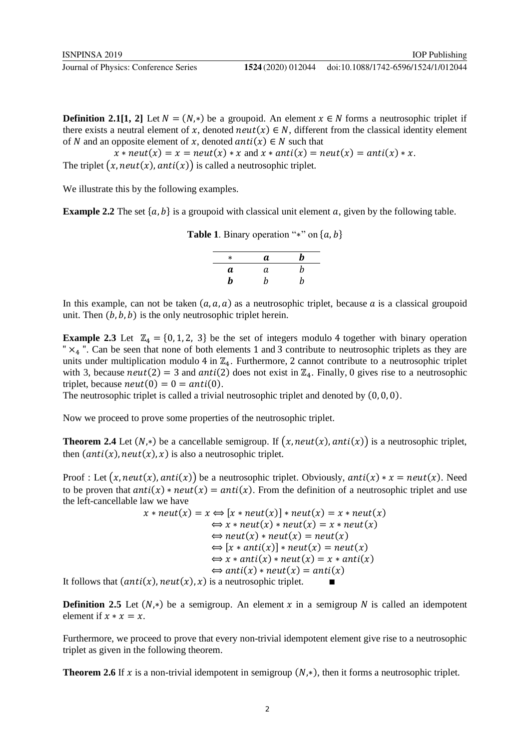**Definition 2.1[1, 2]** Let  $N = (N, *)$  be a groupoid. An element  $x \in N$  forms a neutrosophic triplet if there exists a neutral element of x, denoted  $neut(x) \in N$ , different from the classical identity element of N and an opposite element of x, denoted  $anti(x) \in N$  such that

 $x * neut(x) = x = neut(x) * x$  and  $x * anti(x) = neut(x) = anti(x) * x$ . The triplet  $(x, \text{neut}(x), \text{anti}(x))$  is called a neutrosophic triplet.

We illustrate this by the following examples.

**Example 2.2** The set  $\{a, b\}$  is a groupoid with classical unit element a, given by the following table.

**Table 1**. Binary operation "\*" on  $\{a, b\}$ 

| $\ast$ | a | b |
|--------|---|---|
| а      | а | b |
| b      | h | b |

In this example, can not be taken  $(a, a, a)$  as a neutrosophic triplet, because a is a classical groupoid unit. Then  $(b, b, b)$  is the only neutrosophic triplet herein.

**Example 2.3** Let  $\mathbb{Z}_4 = \{0, 1, 2, 3\}$  be the set of integers modulo 4 together with binary operation " $\times_A$ ". Can be seen that none of both elements 1 and 3 contribute to neutrosophic triplets as they are units under multiplication modulo 4 in  $\mathbb{Z}_4$ . Furthermore, 2 cannot contribute to a neutrosophic triplet with 3, because  $neut(2) = 3$  and  $anti(2)$  does not exist in  $\mathbb{Z}_4$ . Finally, 0 gives rise to a neutrosophic triplet, because  $neut(0) = 0 = anti(0)$ .

The neutrosophic triplet is called a trivial neutrosophic triplet and denoted by (0, 0, 0).

Now we proceed to prove some properties of the neutrosophic triplet.

**Theorem 2.4** Let  $(N,*)$  be a cancellable semigroup. If  $(x, neut(x), anti(x))$  is a neutrosophic triplet, then  $(\text{anti}(x), \text{neut}(x), x)$  is also a neutrosophic triplet.

Proof : Let  $(x, neut(x), anti(x))$  be a neutrosophic triplet. Obviously,  $anti(x) * x = neut(x)$ . Need to be proven that  $anti(x) * neut(x) = anti(x)$ . From the definition of a neutrosophic triplet and use the left-cancellable law we have

 $x * \textit{neut}(x) = x \Leftrightarrow [x * \textit{neut}(x)] * \textit{neut}(x) = x * \textit{neut}(x)$  $\Leftrightarrow$  x \* neut(x) \* neut(x) = x \* neut(x)  $\Leftrightarrow$  neut(x)  $*$  neut(x) = neut(x)  $\Leftrightarrow$  [x \* anti(x)] \* neut(x) = neut(x)  $\Leftrightarrow$  x \* anti(x) \* neut(x) = x \* anti(x)  $\Leftrightarrow$  anti(x)  $*$  neut(x) = anti(x) It follows that  $(anti(x), neut(x), x)$  is a neutrosophic triplet.

**Definition 2.5** Let  $(N,*)$  be a semigroup. An element x in a semigroup N is called an idempotent element if  $x * x = x$ .

Furthermore, we proceed to prove that every non-trivial idempotent element give rise to a neutrosophic triplet as given in the following theorem.

**Theorem 2.6** If x is a non-trivial idempotent in semigroup  $(N, *)$ , then it forms a neutrosophic triplet.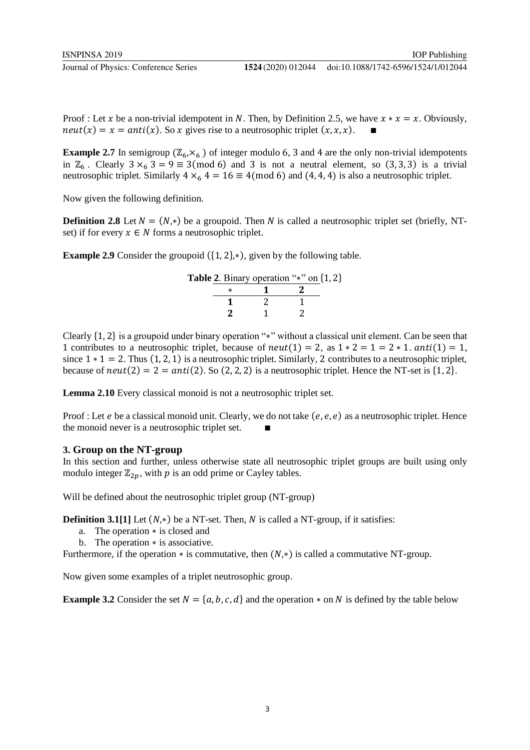Proof : Let x be a non-trivial idempotent in N. Then, by Definition 2.5, we have  $x * x = x$ . Obviously,  $neut(x) = x = anti(x)$ . So x gives rise to a neutrosophic triplet  $(x, x, x)$ .

**Example 2.7** In semigroup  $(\mathbb{Z}_6, \times_6)$  of integer modulo 6, 3 and 4 are the only non-trivial idempotents in  $\mathbb{Z}_6$ . Clearly  $3 \times 3 = 9 \equiv 3 \pmod{6}$  and 3 is not a neutral element, so  $(3, 3, 3)$  is a trivial neutrosophic triplet. Similarly  $4 \times_6 4 = 16 \equiv 4 \pmod{6}$  and  $(4, 4, 4)$  is also a neutrosophic triplet.

Now given the following definition.

**Definition 2.8** Let  $N = (N, *)$  be a groupoid. Then N is called a neutrosophic triplet set (briefly, NTset) if for every  $x \in N$  forms a neutrosophic triplet.

**Example 2.9** Consider the groupoid ({1, 2},∗), given by the following table.

|  | <b>Table 2.</b> Binary operation "*" on $\{1, 2\}$ |  |
|--|----------------------------------------------------|--|
|  |                                                    |  |
|  |                                                    |  |
|  |                                                    |  |

Clearly {1, 2} is a groupoid under binary operation "∗" without a classical unit element. Can be seen that 1 contributes to a neutrosophic triplet, because of  $neut(1) = 2$ , as  $1 * 2 = 1 = 2 * 1$ .  $anti(1) = 1$ , since  $1 * 1 = 2$ . Thus  $(1, 2, 1)$  is a neutrosophic triplet. Similarly, 2 contributes to a neutrosophic triplet, because of  $neut(2) = 2 = anti(2)$ . So (2, 2, 2) is a neutrosophic triplet. Hence the NT-set is {1, 2}.

**Lemma 2.10** Every classical monoid is not a neutrosophic triplet set.

Proof : Let  $e$  be a classical monoid unit. Clearly, we do not take  $(e, e, e)$  as a neutrosophic triplet. Hence the monoid never is a neutrosophic triplet set.

## **3. Group on the NT-group**

In this section and further, unless otherwise state all neutrosophic triplet groups are built using only modulo integer  $\mathbb{Z}_{2n}$ , with p is an odd prime or Cayley tables.

Will be defined about the neutrosophic triplet group (NT-group)

**Definition 3.1[1]** Let  $(N,*)$  be a NT-set. Then, N is called a NT-group, if it satisfies:

- a. The operation ∗ is closed and
- b. The operation ∗ is associative.

Furthermore, if the operation  $*$  is commutative, then  $(N,*)$  is called a commutative NT-group.

Now given some examples of a triplet neutrosophic group.

**Example 3.2** Consider the set  $N = \{a, b, c, d\}$  and the operation  $*$  on N is defined by the table below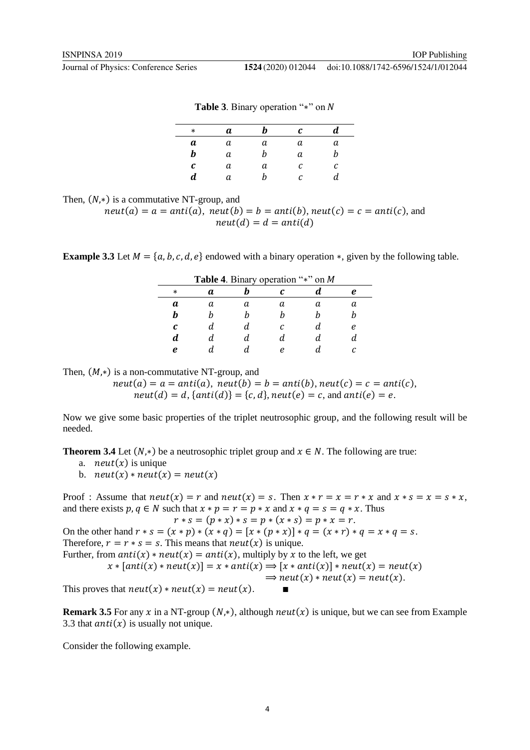#### doi:10.1088/1742-6596/1524/1/012044

|  |  | <b>Table 3.</b> Binary operation "*" on N |  |  |  |
|--|--|-------------------------------------------|--|--|--|
|--|--|-------------------------------------------|--|--|--|

| $\ast$ | а | h | C | a. |
|--------|---|---|---|----|
| а      | а | а | а | a  |
| b      | а | h | a | n  |
| С      | a | а | С | с  |
| d      | а | h | с | d  |
|        |   |   |   |    |

Then,  $(N,*)$  is a commutative NT-group, and

 $neut(a) = a = anti(a),$   $neut(b) = b = anti(b),$   $neut(c) = c = anti(c),$  and  $neut(d) = d = anti(d)$ 

**Example 3.3** Let  $M = \{a, b, c, d, e\}$  endowed with a binary operation  $*$ , given by the following table.

| Table 4. Binary operation "*" on M |   |  |   |  |   |
|------------------------------------|---|--|---|--|---|
| $\ast$                             | а |  |   |  |   |
| а                                  |   |  |   |  |   |
|                                    |   |  |   |  |   |
| C                                  |   |  |   |  | ρ |
| d                                  |   |  |   |  |   |
| e                                  |   |  | ρ |  |   |

Then,  $(M,*)$  is a non-commutative NT-group, and

 $neut(a) = a = anti(a), neut(b) = b = anti(b), neut(c) = c = anti(c),$  $neut(d) = d$ , { $anti(d)$ } = {c, d}, neut(e) = c, and  $anti(e) = e$ .

Now we give some basic properties of the triplet neutrosophic group, and the following result will be needed.

**Theorem 3.4** Let  $(N,*)$  be a neutrosophic triplet group and  $x \in N$ . The following are true:

- a. *neut* $(x)$  is unique
- b.  $neut(x) * neut(x) = neut(x)$

Proof : Assume that  $neut(x) = r$  and  $neut(x) = s$ . Then  $x * r = x = r * x$  and  $x * s = x = s * x$ , and there exists  $p, q \in N$  such that  $x * p = r = p * x$  and  $x * q = s = q * x$ . Thus  $r * s = (p * x) * s = p * (x * s) = p * x = r.$ On the other hand  $r * s = (x * p) * (x * q) = [x * (p * x)] * q = (x * r) * q = x * q = s$ . Therefore,  $r = r * s = s$ . This means that  $neut(x)$  is unique. Further, from  $anti(x) * neut(x) = anti(x)$ , multiply by x to the left, we get  $x * [anti(x) * neut(x)] = x * anti(x) \Rightarrow [x * anti(x)] * neut(x) = neut(x)$  $\Rightarrow$  neut(x)  $*$  neut(x) = neut(x). This proves that  $neut(x) * neut(x) = neut(x)$ .

**Remark 3.5** For any x in a NT-group  $(N, *)$ , although  $neut(x)$  is unique, but we can see from Example 3.3 that  $anti(x)$  is usually not unique.

Consider the following example.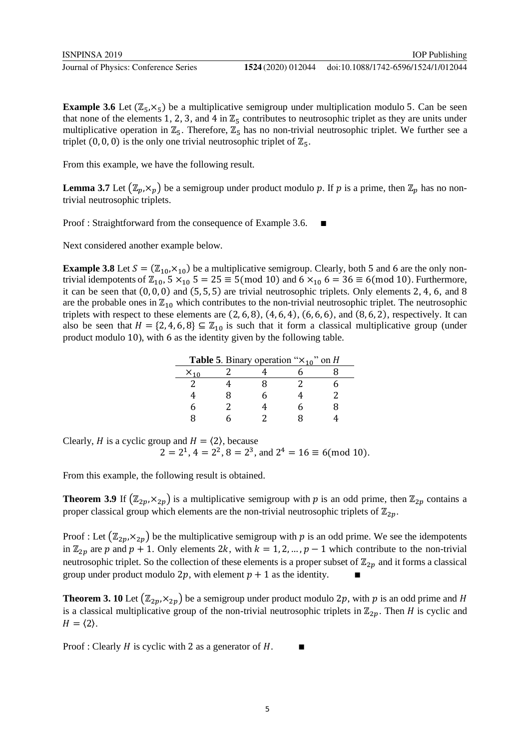**Example 3.6** Let  $(\mathbb{Z}_5, \times_5)$  be a multiplicative semigroup under multiplication modulo 5. Can be seen that none of the elements 1, 2, 3, and 4 in  $\mathbb{Z}_5$  contributes to neutrosophic triplet as they are units under multiplicative operation in  $\mathbb{Z}_5$ . Therefore,  $\mathbb{Z}_5$  has no non-trivial neutrosophic triplet. We further see a triplet  $(0, 0, 0)$  is the only one trivial neutrosophic triplet of  $\mathbb{Z}_5$ .

From this example, we have the following result.

**Lemma 3.7** Let  $(\mathbb{Z}_p, \times_p)$  be a semigroup under product modulo p. If p is a prime, then  $\mathbb{Z}_p$  has no nontrivial neutrosophic triplets.

Proof : Straightforward from the consequence of Example 3.6.

Next considered another example below.

**Example 3.8** Let  $S = (\mathbb{Z}_{10}, \times_{10})$  be a multiplicative semigroup. Clearly, both 5 and 6 are the only nontrivial idempotents of  $\mathbb{Z}_{10}$ ,  $5 \times_{10} 5 = 25 \equiv 5 \pmod{10}$  and  $6 \times_{10} 6 = 36 \equiv 6 \pmod{10}$ . Furthermore, it can be seen that  $(0, 0, 0)$  and  $(5, 5, 5)$  are trivial neutrosophic triplets. Only elements 2, 4, 6, and 8 are the probable ones in  $\mathbb{Z}_{10}$  which contributes to the non-trivial neutrosophic triplet. The neutrosophic triplets with respect to these elements are  $(2, 6, 8)$ ,  $(4, 6, 4)$ ,  $(6, 6, 6)$ , and  $(8, 6, 2)$ , respectively. It can also be seen that  $H = \{2, 4, 6, 8\} \subseteq \mathbb{Z}_{10}$  is such that it form a classical multiplicative group (under product modulo 10), with 6 as the identity given by the following table.

| <b>Table 5</b> . Binary operation " $\times_{10}$ " on H |   |  |  |  |
|----------------------------------------------------------|---|--|--|--|
| $X_{10}$                                                 |   |  |  |  |
|                                                          |   |  |  |  |
|                                                          | я |  |  |  |
|                                                          |   |  |  |  |
|                                                          |   |  |  |  |

Clearly, *H* is a cyclic group and  $H = \langle 2 \rangle$ , because  $2 = 2^1$ ,  $4 = 2^2$ ,  $8 = 2^3$ , and  $2^4 = 16 \equiv 6 \pmod{10}$ .

From this example, the following result is obtained.

**Theorem 3.9** If  $(\mathbb{Z}_{2p}, \times_{2p})$  is a multiplicative semigroup with p is an odd prime, then  $\mathbb{Z}_{2p}$  contains a proper classical group which elements are the non-trivial neutrosophic triplets of  $\mathbb{Z}_{2n}$ .

Proof : Let  $(\mathbb{Z}_{2p}, \times_{2p})$  be the multiplicative semigroup with p is an odd prime. We see the idempotents in  $\mathbb{Z}_{2p}$  are p and  $p + 1$ . Only elements 2k, with  $k = 1, 2, ..., p - 1$  which contribute to the non-trivial neutrosophic triplet. So the collection of these elements is a proper subset of  $\mathbb{Z}_{2n}$  and it forms a classical group under product modulo 2p, with element  $p + 1$  as the identity.

**Theorem 3. 10** Let  $(\mathbb{Z}_{2p}, \times_{2p})$  be a semigroup under product modulo 2p, with p is an odd prime and H is a classical multiplicative group of the non-trivial neutrosophic triplets in  $\mathbb{Z}_{2p}$ . Then *H* is cyclic and  $H = \langle 2 \rangle$ .

Proof : Clearly  $H$  is cyclic with 2 as a generator of  $H$ .